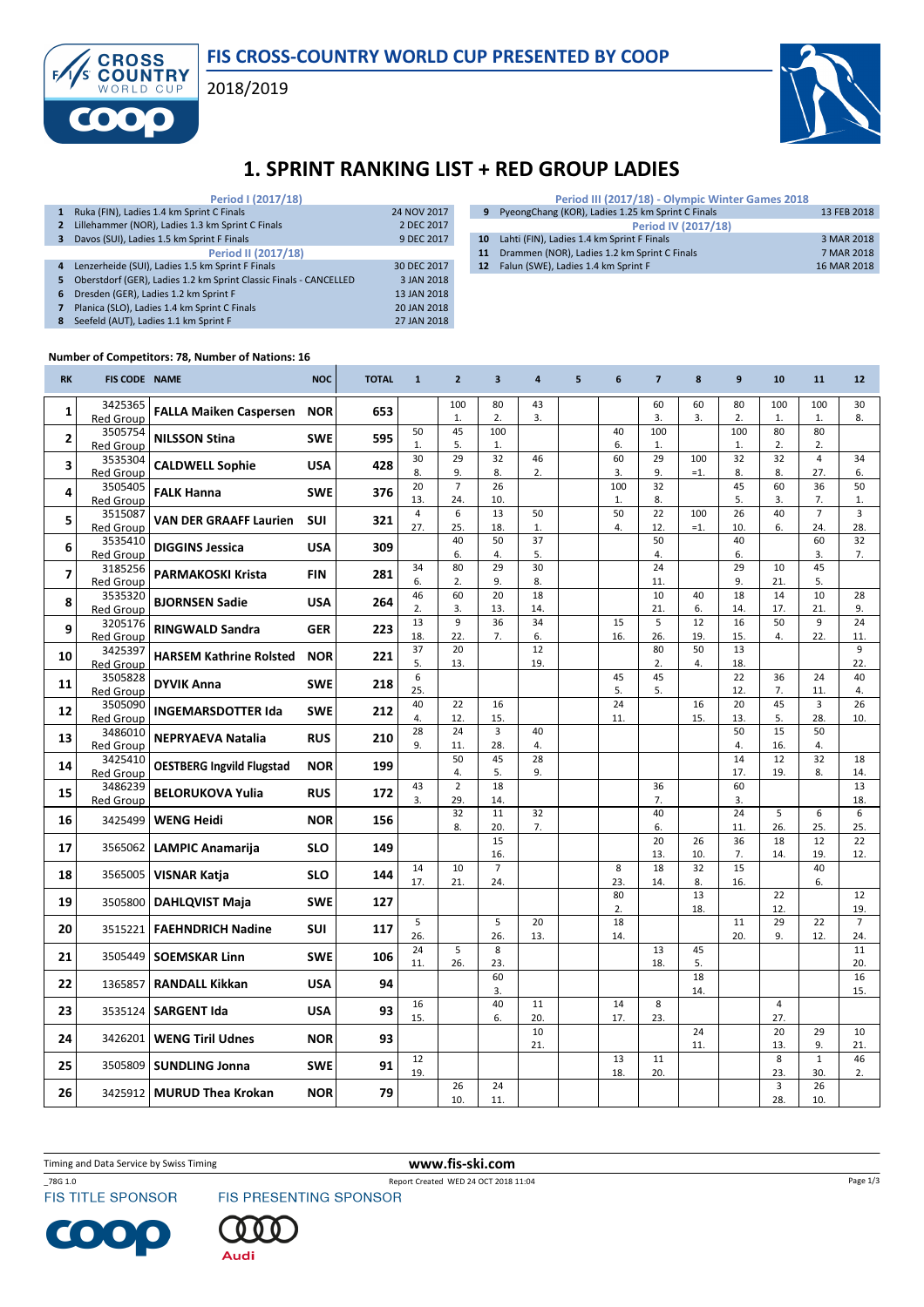### FIS CROSS-COUNTRY WORLD CUP PRESENTED BY COOP

2018/2019



## 1. SPRINT RANKING LIST + RED GROUP LADIES

|                | Period I (2017/18)                                                |             |
|----------------|-------------------------------------------------------------------|-------------|
| 1              | Ruka (FIN), Ladies 1.4 km Sprint C Finals                         | 24 NOV 2017 |
| $\overline{2}$ | Lillehammer (NOR), Ladies 1.3 km Sprint C Finals                  | 2 DEC 2017  |
| 3              | Davos (SUI), Ladies 1.5 km Sprint F Finals                        | 9 DEC 2017  |
|                | Period II (2017/18)                                               |             |
| $\overline{4}$ | Lenzerheide (SUI), Ladies 1.5 km Sprint F Finals                  | 30 DEC 2017 |
| 5              | Oberstdorf (GER), Ladies 1.2 km Sprint Classic Finals - CANCELLED | 3 JAN 2018  |
| 6              | Dresden (GER), Ladies 1.2 km Sprint F                             | 13 JAN 2018 |
|                | Planica (SLO), Ladies 1.4 km Sprint C Finals                      | 20 JAN 2018 |
| 8              | Seefeld (AUT), Ladies 1.1 km Sprint F                             | 27 JAN 2018 |

| Period III (2017/18) - Olympic Winter Games 2018    |             |
|-----------------------------------------------------|-------------|
| 9 PyeongChang (KOR), Ladies 1.25 km Sprint C Finals | 13 FEB 2018 |
| <b>Period IV (2017/18)</b>                          |             |
| 10 Lahti (FIN), Ladies 1.4 km Sprint F Finals       | 3 MAR 2018  |
| 11 Drammen (NOR), Ladies 1.2 km Sprint C Finals     | 7 MAR 2018  |
| 12 Falun (SWE), Ladies 1.4 km Sprint F              | 16 MAR 2018 |

#### Number of Competitors: 78, Number of Nations: 16

**CROSS** 

**COUNTRY** 

F

| <b>RK</b>               | <b>FIS CODE NAME</b>        |                                  | <b>NOC</b> | <b>TOTAL</b> | $\mathbf{1}$ | $\overline{2}$        | $\overline{\mathbf{3}}$ | $\overline{4}$ | 5 | 6         | $\overline{7}$ | 8         | 9               | 10             | 11                 | 12             |
|-------------------------|-----------------------------|----------------------------------|------------|--------------|--------------|-----------------------|-------------------------|----------------|---|-----------|----------------|-----------|-----------------|----------------|--------------------|----------------|
| 1                       | 3425365                     | <b>FALLA Maiken Caspersen</b>    | <b>NOR</b> | 653          |              | 100                   | 80                      | 43             |   |           | 60             | 60        | 80              | 100            | 100                | 30             |
|                         | <b>Red Group</b>            |                                  |            |              | 50           | 1.<br>45              | 2.<br>100               | 3.             |   | 40        | 3.<br>100      | 3.        | 2.<br>100       | 1.<br>80       | 1.<br>80           | 8.             |
| $\overline{\mathbf{2}}$ | 3505754<br><b>Red Group</b> | <b>NILSSON Stina</b>             | <b>SWE</b> | 595          | 1.           | 5.                    | 1.                      |                |   | 6.        | 1.             |           | 1.              | 2.             | 2.                 |                |
| 3                       | 3535304                     | <b>CALDWELL Sophie</b>           | <b>USA</b> | 428          | 30           | 29                    | 32                      | 46             |   | 60        | 29             | 100       | $\overline{32}$ | 32             | $\overline{4}$     | 34             |
|                         | <b>Red Group</b>            |                                  |            |              | 8.<br>20     | 9.<br>$\overline{7}$  | 8.<br>26                | 2.             |   | 3.<br>100 | 9.<br>32       | $=1$ .    | 8.<br>45        | 8.<br>60       | 27.<br>36          | 6.<br>50       |
| 4                       | 3505405<br><b>Red Group</b> | <b>FALK Hanna</b>                | <b>SWE</b> | 376          | 13.          | 24.                   | 10.                     |                |   | 1.        | 8.             |           | 5.              | 3.             | 7.                 | 1.             |
| 5                       | 3515087                     | <b>VAN DER GRAAFF Laurien</b>    | <b>SUI</b> | 321          | 4            | 6                     | 13                      | 50             |   | 50        | 22             | 100       | 26              | 40             | $\overline{7}$     | 3              |
|                         | <b>Red Group</b><br>3535410 |                                  |            |              | 27.          | 25.<br>40             | 18.<br>50               | 1.<br>37       |   | 4.        | 12.<br>50      | $=1$ .    | 10.<br>40       | 6.             | 24.<br>60          | 28.<br>32      |
| 6                       | <b>Red Group</b>            | <b>DIGGINS Jessica</b>           | <b>USA</b> | 309          |              | 6.                    | 4.                      | 5.             |   |           | 4.             |           | 6.              |                | 3.                 | 7.             |
| $\overline{7}$          | 3185256                     | <b>PARMAKOSKI Krista</b>         | <b>FIN</b> | 281          | 34           | 80                    | 29                      | 30             |   |           | 24             |           | 29              | 10             | 45                 |                |
|                         | Red Group<br>3535320        |                                  |            |              | 6.<br>46     | 2.<br>60              | 9.<br>20                | 8.<br>18       |   |           | 11.<br>10      | 40        | 9.<br>18        | 21.<br>14      | 5.<br>10           | 28             |
| 8                       | <b>Red Group</b>            | <b>BJORNSEN Sadie</b>            | <b>USA</b> | 264          | 2.           | 3.                    | 13.                     | 14.            |   |           | 21.            | 6.        | 14.             | 17.            | 21.                | 9.             |
| 9                       | 3205176                     | <b>RINGWALD Sandra</b>           | <b>GER</b> | 223          | 13           | 9                     | 36                      | 34             |   | 15        | 5              | 12        | 16              | 50             | 9                  | 24             |
|                         | <b>Red Group</b><br>3425397 |                                  |            |              | 18.<br>37    | 22.<br>20             | 7.                      | 6.<br>12       |   | 16.       | 26.<br>80      | 19.<br>50 | 15.<br>13       | 4.             | 22.                | 11.<br>9       |
| 10                      | <b>Red Group</b>            | <b>HARSEM Kathrine Rolsted</b>   | <b>NOR</b> | 221          | 5.           | 13.                   |                         | 19.            |   |           | 2.             | 4.        | 18.             |                |                    | 22.            |
| 11                      | 3505828                     | <b>DYVIK Anna</b>                | <b>SWE</b> | 218          | 6            |                       |                         |                |   | 45        | 45             |           | 22              | 36             | 24                 | 40             |
|                         | <b>Red Group</b><br>3505090 |                                  |            |              | 25.<br>40    | 22                    | 16                      |                |   | 5.<br>24  | 5.             | 16        | 12.<br>20       | 7.<br>45       | 11.<br>3           | 4.<br>26       |
| 12                      | <b>Red Group</b>            | <b>INGEMARSDOTTER Ida</b>        | <b>SWE</b> | 212          | 4.           | 12.                   | 15.                     |                |   | 11.       |                | 15.       | 13.             | 5.             | 28.                | 10.            |
| 13                      | 3486010                     | <b>NEPRYAEVA Natalia</b>         | <b>RUS</b> | 210          | 28           | 24                    | 3                       | 40             |   |           |                |           | 50              | 15             | 50                 |                |
|                         | <b>Red Group</b><br>3425410 |                                  |            |              | 9.           | 11.<br>50             | 28.<br>45               | 4.<br>28       |   |           |                |           | 4.<br>14        | 16.<br>12      | 4.<br>32           | 18             |
| 14                      | <b>Red Group</b>            | <b>OESTBERG Ingvild Flugstad</b> | <b>NOR</b> | 199          |              | 4.                    | 5.                      | 9.             |   |           |                |           | 17.             | 19.            | 8.                 | 14.            |
| 15                      | 3486239                     | <b>BELORUKOVA Yulia</b>          | <b>RUS</b> | 172          | 43           | $\overline{2}$<br>29. | 18<br>14.               |                |   |           | 36<br>7.       |           | 60<br>3.        |                |                    | 13             |
|                         | <b>Red Group</b>            |                                  |            |              | 3.           | 32                    | 11                      | 32             |   |           | 40             |           | $\overline{24}$ | 5              | 6                  | 18.<br>6       |
| 16                      | 3425499                     | <b>WENG Heidi</b>                | <b>NOR</b> | 156          |              | 8.                    | 20.                     | 7.             |   |           | 6.             |           | 11.             | 26.            | 25.                | 25.            |
| 17                      | 3565062                     | <b>LAMPIC Anamarija</b>          | <b>SLO</b> | 149          |              |                       | 15<br>16.               |                |   |           | 20<br>13.      | 26<br>10. | 36<br>7.        | 18<br>14.      | 12<br>19.          | 22<br>12.      |
| 18                      | 3565005                     |                                  | <b>SLO</b> | 144          | 14           | 10                    | $\overline{7}$          |                |   | 8         | 18             | 32        | 15              |                | 40                 |                |
|                         |                             | <b>VISNAR Katja</b>              |            |              | 17.          | 21.                   | 24.                     |                |   | 23.       | 14.            | 8.        | 16.             |                | 6.                 |                |
| 19                      | 3505800                     | <b>DAHLQVIST Maja</b>            | <b>SWE</b> | 127          |              |                       |                         |                |   | 80<br>2.  |                | 13<br>18. |                 | 22<br>12.      |                    | 12<br>19.      |
| 20                      | 3515221                     | <b>FAEHNDRICH Nadine</b>         | SUI        | 117          | 5            |                       | 5                       | 20             |   | 18        |                |           | 11              | 29             | 22                 | $\overline{7}$ |
|                         |                             |                                  |            |              | 26.          | 5                     | 26.                     | 13.            |   | 14.       |                |           | 20.             | 9.             | 12.                | 24.            |
| 21                      | 3505449                     | <b>SOEMSKAR Linn</b>             | <b>SWE</b> | 106          | 24<br>11.    | 26.                   | 8<br>23.                |                |   |           | 13<br>18.      | 45<br>5.  |                 |                |                    | 11<br>20.      |
| 22                      | 1365857                     | <b>RANDALL Kikkan</b>            | <b>USA</b> | 94           |              |                       | 60                      |                |   |           |                | 18        |                 |                |                    | 16             |
|                         |                             |                                  |            |              | 16           |                       | 3.<br>40                | 11             |   | 14        | 8              | 14.       |                 | $\overline{4}$ |                    | 15.            |
| 23                      | 3535124                     | <b>SARGENT Ida</b>               | <b>USA</b> | 93           | 15.          |                       | 6.                      | 20.            |   | 17.       | 23.            |           |                 | 27.            |                    |                |
| 24                      | 3426201                     | <b>WENG Tiril Udnes</b>          | <b>NOR</b> | 93           |              |                       |                         | 10             |   |           |                | 24        |                 | 20             | 29                 | 10             |
|                         |                             |                                  |            |              | 12           |                       |                         | 21.            |   | 13        | 11             | 11.       |                 | 13.<br>8       | 9.<br>$\mathbf{1}$ | 21.<br>46      |
| 25                      | 3505809                     | <b>SUNDLING Jonna</b>            | <b>SWE</b> | 91           | 19.          |                       |                         |                |   | 18.       | 20.            |           |                 | 23.            | 30.                | 2.             |
| 26                      | 3425912                     | <b>MURUD Thea Krokan</b>         | <b>NOR</b> | 79           |              | 26                    | 24                      |                |   |           |                |           |                 | 3              | 26                 |                |
|                         |                             |                                  |            |              |              | 10.                   | 11.                     |                |   |           |                |           |                 | 28.            | 10.                |                |

Timing and Data Service by Swiss Timing WWW.fis-ski.com



 $\blacksquare$  $\bullet$ 

\_78G 1.0<br>FIS TITLE SPONSOR FIS PRESENTING SPONSOR



Page 1/3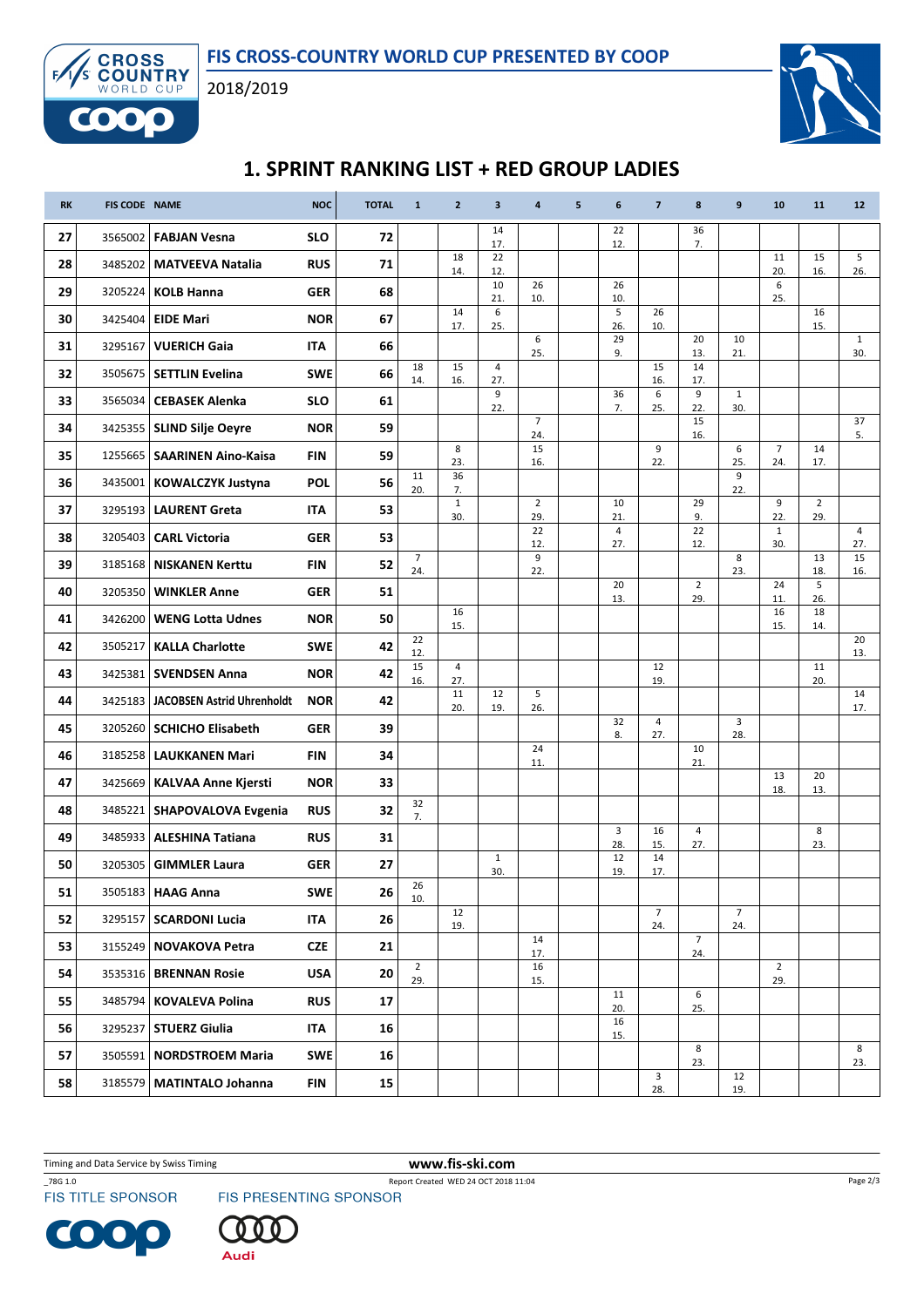



# 1. SPRINT RANKING LIST + RED GROUP LADIES

| <b>RK</b> | <b>FIS CODE NAME</b> |                                   | <b>NOC</b> | <b>TOTAL</b> | $\mathbf{1}$          | $\overline{2}$        | 3                     | 4                     | 5 | 6                     | $\overline{7}$        | 8                     | 9                     | 10                      | 11                    | 12                    |
|-----------|----------------------|-----------------------------------|------------|--------------|-----------------------|-----------------------|-----------------------|-----------------------|---|-----------------------|-----------------------|-----------------------|-----------------------|-------------------------|-----------------------|-----------------------|
| 27        | 3565002              | <b>FABJAN Vesna</b>               | <b>SLO</b> | 72           |                       |                       | 14<br>17.             |                       |   | 22<br>12.             |                       | 36<br>7.              |                       |                         |                       |                       |
| 28        | 3485202              | <b>MATVEEVA Natalia</b>           | <b>RUS</b> | 71           |                       | 18<br>14.             | 22<br>12.             |                       |   |                       |                       |                       |                       | 11<br>20.               | 15<br>16.             | 5<br>26.              |
| 29        | 3205224              | <b>KOLB Hanna</b>                 | <b>GER</b> | 68           |                       |                       | 10<br>21.             | 26<br>10.             |   | 26<br>10.             |                       |                       |                       | $\boldsymbol{6}$<br>25. |                       |                       |
| 30        | 3425404              | <b>EIDE Mari</b>                  | <b>NOR</b> | 67           |                       | 14<br>17.             | 6<br>25.              |                       |   | 5<br>26.              | 26<br>10.             |                       |                       |                         | 16<br>15.             |                       |
| 31        | 3295167              | <b>VUERICH Gaia</b>               | <b>ITA</b> | 66           |                       |                       |                       | 6<br>25.              |   | 29<br>9.              |                       | 20<br>13.             | 10<br>21.             |                         |                       | $\mathbf{1}$<br>30.   |
| 32        |                      | 3505675   SETTLIN Evelina         | <b>SWE</b> | 66           | 18<br>14.             | 15<br>16.             | $\overline{4}$<br>27. |                       |   |                       | 15<br>16.             | 14<br>17.             |                       |                         |                       |                       |
| 33        | 3565034              | <b>CEBASEK Alenka</b>             | <b>SLO</b> | 61           |                       |                       | 9<br>22.              |                       |   | 36<br>7.              | 6<br>25.              | 9<br>22.              | $\mathbf{1}$<br>30.   |                         |                       |                       |
| 34        |                      | 3425355   SLIND Silje Oeyre       | <b>NOR</b> | 59           |                       |                       |                       | $\overline{7}$<br>24. |   |                       |                       | 15<br>16.             |                       |                         |                       | 37<br>5.              |
| 35        |                      | 1255665   SAARINEN Aino-Kaisa     | <b>FIN</b> | 59           |                       | 8<br>23.              |                       | 15<br>16.             |   |                       | 9<br>22.              |                       | 6<br>25.              | $\overline{7}$<br>24.   | 14<br>17.             |                       |
| 36        |                      | 3435001   KOWALCZYK Justyna       | <b>POL</b> | 56           | 11<br>20.             | 36<br>7.              |                       |                       |   |                       |                       |                       | 9<br>22.              |                         |                       |                       |
| 37        | 3295193              | <b>LAURENT Greta</b>              | ITA        | 53           |                       | $\mathbf{1}$<br>30.   |                       | $\overline{2}$<br>29. |   | 10<br>21.             |                       | 29<br>9.              |                       | 9<br>22.                | $\overline{2}$<br>29. |                       |
| 38        | 3205403              | <b>CARL Victoria</b>              | <b>GER</b> | 53           |                       |                       |                       | 22<br>12.             |   | $\overline{4}$<br>27. |                       | 22<br>12.             |                       | $\mathbf 1$<br>30.      |                       | $\overline{4}$<br>27. |
| 39        | 3185168              | <b>NISKANEN Kerttu</b>            | FIN        | 52           | $\overline{7}$<br>24. |                       |                       | 9<br>22.              |   |                       |                       |                       | 8<br>23.              |                         | 13<br>18.             | 15<br>16.             |
| 40        | 3205350              | <b>WINKLER Anne</b>               | <b>GER</b> | 51           |                       |                       |                       |                       |   | 20<br>13.             |                       | $\overline{2}$<br>29. |                       | 24<br>11.               | 5<br>26.              |                       |
| 41        | 3426200              | <b>WENG Lotta Udnes</b>           | <b>NOR</b> | 50           |                       | 16<br>15.             |                       |                       |   |                       |                       |                       |                       | 16<br>15.               | 18<br>14.             |                       |
| 42        | 3505217              | <b>KALLA Charlotte</b>            | <b>SWE</b> | 42           | 22<br>12.             |                       |                       |                       |   |                       |                       |                       |                       |                         |                       | 20<br>13.             |
| 43        |                      | 3425381   SVENDSEN Anna           | <b>NOR</b> | 42           | 15<br>16.             | $\overline{4}$<br>27. |                       |                       |   |                       | 12<br>19.             |                       |                       |                         | 11<br>20.             |                       |
| 44        | 3425183              | <b>JACOBSEN Astrid Uhrenholdt</b> | <b>NOR</b> | 42           |                       | 11<br>20.             | 12<br>19.             | 5<br>26.              |   |                       |                       |                       |                       |                         |                       | 14<br>17.             |
| 45        |                      | 3205260 SCHICHO Elisabeth         | <b>GER</b> | 39           |                       |                       |                       |                       |   | 32<br>8.              | $\overline{4}$<br>27. |                       | 3<br>28.              |                         |                       |                       |
| 46        | 3185258              | <b>LAUKKANEN Mari</b>             | <b>FIN</b> | 34           |                       |                       |                       | 24<br>11.             |   |                       |                       | 10<br>21.             |                       |                         |                       |                       |
| 47        |                      | 3425669   KALVAA Anne Kjersti     | <b>NOR</b> | 33           |                       |                       |                       |                       |   |                       |                       |                       |                       | 13<br>18.               | 20<br>13.             |                       |
| 48        |                      | 3485221 SHAPOVALOVA Evgenia       | <b>RUS</b> | 32           | 32<br>7.              |                       |                       |                       |   |                       |                       |                       |                       |                         |                       |                       |
| 49        | 3485933              | <b>ALESHINA Tatiana</b>           | <b>RUS</b> | 31           |                       |                       |                       |                       |   | 3<br>28.              | 16<br>15.             | $\overline{4}$<br>27. |                       |                         | 8<br>23.              |                       |
| 50        | 3205305              | <b>GIMMLER Laura</b>              | <b>GER</b> | 27           |                       |                       | $\mathbf{1}$<br>30.   |                       |   | 12<br>19.             | 14<br>17.             |                       |                       |                         |                       |                       |
| 51        |                      | 3505183   HAAG Anna               | <b>SWE</b> | 26           | 26<br>10.             |                       |                       |                       |   |                       |                       |                       |                       |                         |                       |                       |
| 52        |                      | 3295157   SCARDONI Lucia          | <b>ITA</b> | 26           |                       | 12<br>19.             |                       |                       |   |                       | $\overline{7}$<br>24. |                       | $\overline{7}$<br>24. |                         |                       |                       |
| 53        |                      | 3155249 NOVAKOVA Petra            | <b>CZE</b> | 21           |                       |                       |                       | 14<br>17.             |   |                       |                       | $\overline{7}$<br>24. |                       |                         |                       |                       |
| 54        |                      | 3535316   BRENNAN Rosie           | <b>USA</b> | 20           | $\overline{2}$<br>29. |                       |                       | 16<br>15.             |   |                       |                       |                       |                       | $\overline{2}$<br>29.   |                       |                       |
| 55        |                      | 3485794   KOVALEVA Polina         | <b>RUS</b> | 17           |                       |                       |                       |                       |   | 11<br>20.             |                       | 6<br>25.              |                       |                         |                       |                       |
| 56        |                      | 3295237   STUERZ Giulia           | ITA        | 16           |                       |                       |                       |                       |   | 16<br>15.             |                       |                       |                       |                         |                       |                       |
| 57        |                      | 3505591   NORDSTROEM Maria        | <b>SWE</b> | 16           |                       |                       |                       |                       |   |                       |                       | 8<br>23.              |                       |                         |                       | 8<br>23.              |
| 58        |                      | 3185579   MATINTALO Johanna       | <b>FIN</b> | 15           |                       |                       |                       |                       |   |                       | $\mathbf{3}$<br>28.   |                       | 12<br>19.             |                         |                       |                       |

Timing and Data Service by Swiss Timing WWW.fis-ski.com



CO

\_78G 1.0<br>FIS TITLE SPONSOR FIS PRESENTING SPONSOR



Page 2/3